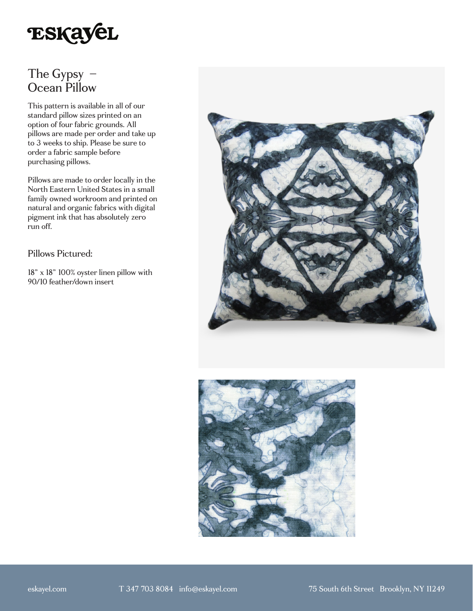

## The Gypsy – Ocean Pillow

This pattern is available in all of our standard pillow sizes printed on an option of four fabric grounds. All pillows are made per order and take up to 3 weeks to ship. Please be sure to order a fabric sample before purchasing pillows.

Pillows are made to order locally in the North Eastern United States in a small family owned workroom and printed on natural and organic fabrics with digital pigment ink that has absolutely zero run off.

## Pillows Pictured:

18" x 18" 100% oyster linen pillow with 90/10 feather/down insert